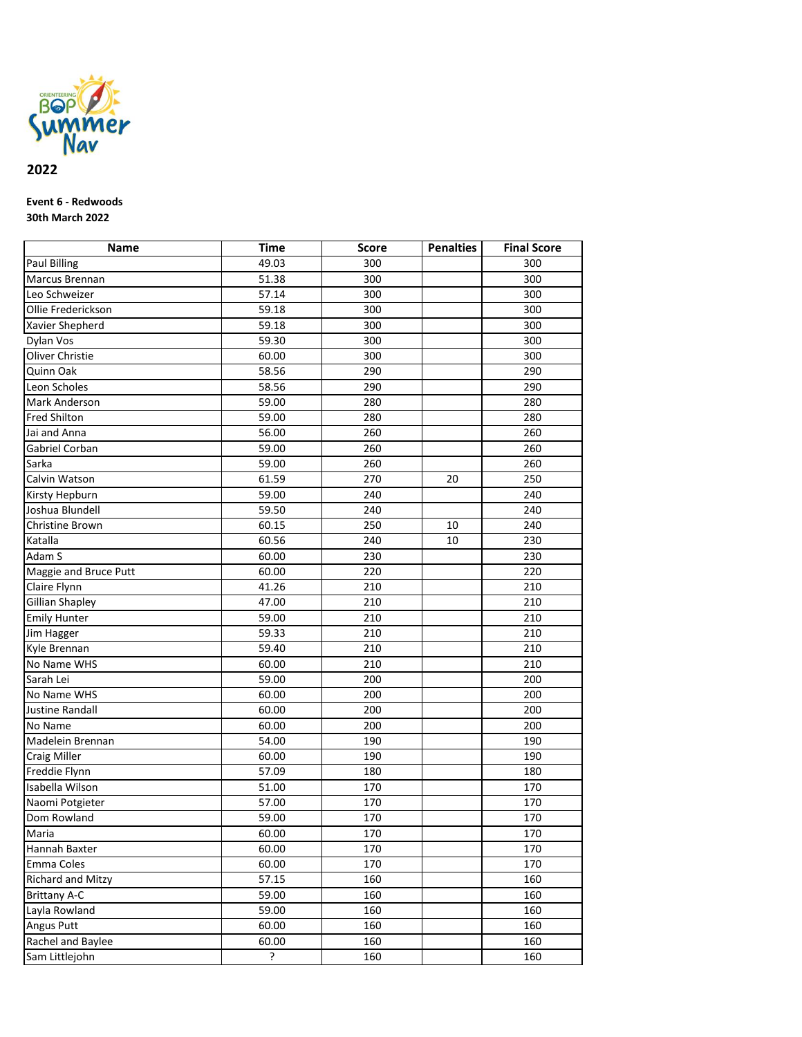

## **2022**

## **Event 6 - Redwoods 30th March 2022**

| Name                     | <b>Time</b>              | <b>Score</b> | <b>Penalties</b> | <b>Final Score</b> |
|--------------------------|--------------------------|--------------|------------------|--------------------|
| <b>Paul Billing</b>      | 49.03                    | 300          |                  | 300                |
| Marcus Brennan           | 51.38                    | 300          |                  | 300                |
| Leo Schweizer            | 57.14                    | 300          |                  | 300                |
| Ollie Frederickson       | 59.18                    | 300          |                  | 300                |
| Xavier Shepherd          | 59.18                    | 300          |                  | 300                |
| Dylan Vos                | 59.30                    | 300          |                  | 300                |
| Oliver Christie          | 60.00                    | 300          |                  | 300                |
| Quinn Oak                | 58.56                    | 290          |                  | 290                |
| Leon Scholes             | 58.56                    | 290          |                  | 290                |
| Mark Anderson            | 59.00                    | 280          |                  | 280                |
| Fred Shilton             | 59.00                    | 280          |                  | 280                |
| Jai and Anna             | 56.00                    | 260          |                  | 260                |
| Gabriel Corban           | 59.00                    | 260          |                  | 260                |
| Sarka                    | 59.00                    | 260          |                  | 260                |
| Calvin Watson            | 61.59                    | 270          | 20               | 250                |
| Kirsty Hepburn           | 59.00                    | 240          |                  | 240                |
| Joshua Blundell          | 59.50                    | 240          |                  | 240                |
| Christine Brown          | 60.15                    | 250          | 10               | 240                |
| Katalla                  | 60.56                    | 240          | 10               | 230                |
| Adam S                   | 60.00                    | 230          |                  | 230                |
| Maggie and Bruce Putt    | 60.00                    | 220          |                  | 220                |
| Claire Flynn             | 41.26                    | 210          |                  | 210                |
| <b>Gillian Shapley</b>   | 47.00                    | 210          |                  | 210                |
| <b>Emily Hunter</b>      | 59.00                    | 210          |                  | 210                |
| Jim Hagger               | 59.33                    | 210          |                  | 210                |
| Kyle Brennan             | 59.40                    | 210          |                  | 210                |
| No Name WHS              | 60.00                    | 210          |                  | 210                |
| Sarah Lei                | 59.00                    | 200          |                  | 200                |
| No Name WHS              | 60.00                    | 200          |                  | 200                |
| <b>Justine Randall</b>   | 60.00                    | 200          |                  | 200                |
| No Name                  | 60.00                    | 200          |                  | 200                |
| Madelein Brennan         | 54.00                    | 190          |                  | 190                |
| <b>Craig Miller</b>      | 60.00                    | 190          |                  | 190                |
| Freddie Flynn            | 57.09                    | 180          |                  | 180                |
| Isabella Wilson          | 51.00                    | 170          |                  | 170                |
| Naomi Potgieter          | 57.00                    | 170          |                  | 170                |
| Dom Rowland              | 59.00                    | 170          |                  | 170                |
| Maria                    | 60.00                    | 170          |                  | 170                |
| Hannah Baxter            | 60.00                    | 170          |                  | 170                |
| Emma Coles               | 60.00                    | 170          |                  | 170                |
| <b>Richard and Mitzy</b> | 57.15                    | 160          |                  | 160                |
| <b>Brittany A-C</b>      | 59.00                    | 160          |                  | 160                |
| Layla Rowland            | 59.00                    | 160          |                  | 160                |
| Angus Putt               | 60.00                    | 160          |                  | 160                |
| Rachel and Baylee        | 60.00                    | 160          |                  | 160                |
| Sam Littlejohn           | $\overline{\phantom{0}}$ | 160          |                  | 160                |